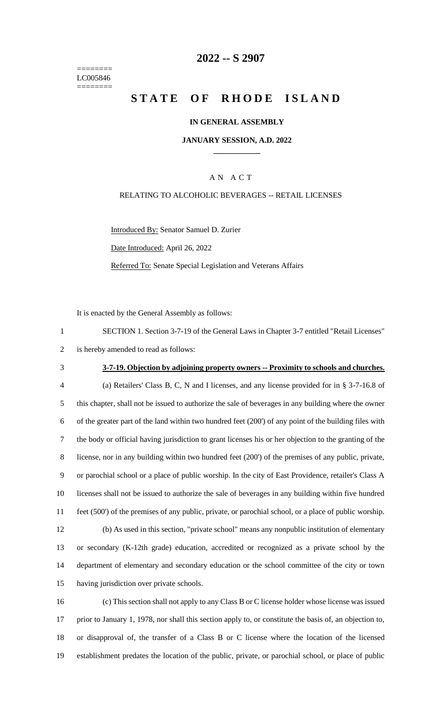======== LC005846 ========

### **-- S 2907**

# **STATE OF RHODE ISLAND**

#### **IN GENERAL ASSEMBLY**

#### **JANUARY SESSION, A.D. 2022 \_\_\_\_\_\_\_\_\_\_\_\_**

#### A N A C T

#### RELATING TO ALCOHOLIC BEVERAGES -- RETAIL LICENSES

Introduced By: Senator Samuel D. Zurier

Date Introduced: April 26, 2022

Referred To: Senate Special Legislation and Veterans Affairs

It is enacted by the General Assembly as follows:

| SECTION 1. Section 3-7-19 of the General Laws in Chapter 3-7 entitled "Retail Licenses" |
|-----------------------------------------------------------------------------------------|
| 2 is hereby amended to read as follows:                                                 |

### **3-7-19. Objection by adjoining property owners -- Proximity to schools and churches.**

 (a) Retailers' Class B, C, N and I licenses, and any license provided for in § 3-7-16.8 of this chapter, shall not be issued to authorize the sale of beverages in any building where the owner of the greater part of the land within two hundred feet (200') of any point of the building files with the body or official having jurisdiction to grant licenses his or her objection to the granting of the license, nor in any building within two hundred feet (200') of the premises of any public, private, or parochial school or a place of public worship. In the city of East Providence, retailer's Class A licenses shall not be issued to authorize the sale of beverages in any building within five hundred feet (500') of the premises of any public, private, or parochial school, or a place of public worship. (b) As used in this section, "private school" means any nonpublic institution of elementary or secondary (K-12th grade) education, accredited or recognized as a private school by the department of elementary and secondary education or the school committee of the city or town having jurisdiction over private schools.

 (c) This section shall not apply to any Class B or C license holder whose license was issued prior to January 1, 1978, nor shall this section apply to, or constitute the basis of, an objection to, or disapproval of, the transfer of a Class B or C license where the location of the licensed establishment predates the location of the public, private, or parochial school, or place of public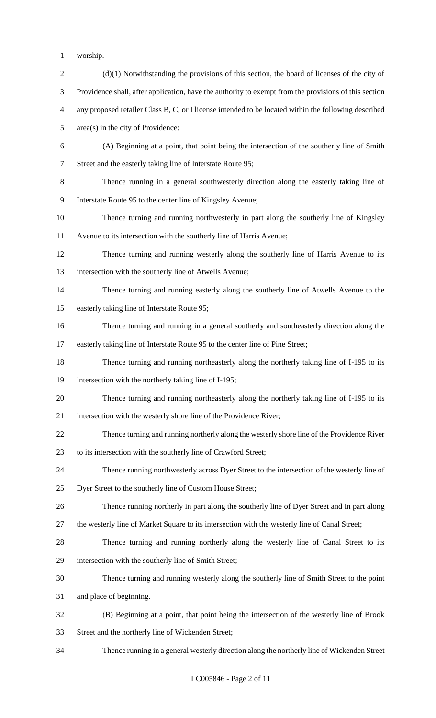- worship.
- 2 (d)(1) Notwithstanding the provisions of this section, the board of licenses of the city of Providence shall, after application, have the authority to exempt from the provisions of this section any proposed retailer Class B, C, or I license intended to be located within the following described area(s) in the city of Providence: (A) Beginning at a point, that point being the intersection of the southerly line of Smith Street and the easterly taking line of Interstate Route 95; Thence running in a general southwesterly direction along the easterly taking line of Interstate Route 95 to the center line of Kingsley Avenue; Thence turning and running northwesterly in part along the southerly line of Kingsley Avenue to its intersection with the southerly line of Harris Avenue; Thence turning and running westerly along the southerly line of Harris Avenue to its intersection with the southerly line of Atwells Avenue; Thence turning and running easterly along the southerly line of Atwells Avenue to the easterly taking line of Interstate Route 95; Thence turning and running in a general southerly and southeasterly direction along the easterly taking line of Interstate Route 95 to the center line of Pine Street; Thence turning and running northeasterly along the northerly taking line of I-195 to its intersection with the northerly taking line of I-195; Thence turning and running northeasterly along the northerly taking line of I-195 to its intersection with the westerly shore line of the Providence River; Thence turning and running northerly along the westerly shore line of the Providence River to its intersection with the southerly line of Crawford Street; Thence running northwesterly across Dyer Street to the intersection of the westerly line of Dyer Street to the southerly line of Custom House Street; Thence running northerly in part along the southerly line of Dyer Street and in part along the westerly line of Market Square to its intersection with the westerly line of Canal Street; Thence turning and running northerly along the westerly line of Canal Street to its intersection with the southerly line of Smith Street; Thence turning and running westerly along the southerly line of Smith Street to the point and place of beginning. (B) Beginning at a point, that point being the intersection of the westerly line of Brook Street and the northerly line of Wickenden Street; Thence running in a general westerly direction along the northerly line of Wickenden Street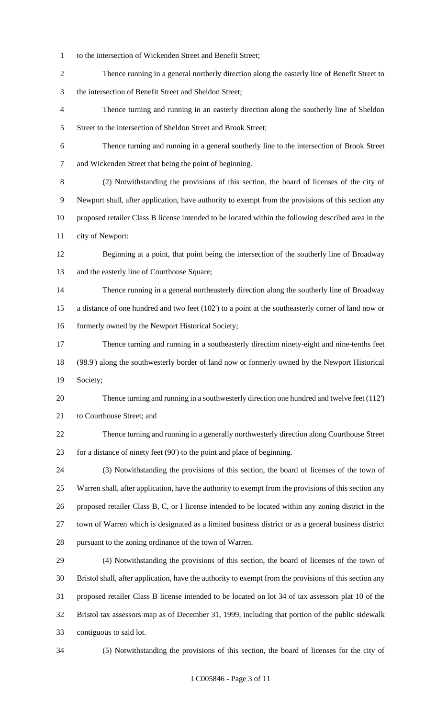- to the intersection of Wickenden Street and Benefit Street;
- Thence running in a general northerly direction along the easterly line of Benefit Street to the intersection of Benefit Street and Sheldon Street;
- Thence turning and running in an easterly direction along the southerly line of Sheldon 5 Street to the intersection of Sheldon Street and Brook Street;
- Thence turning and running in a general southerly line to the intersection of Brook Street and Wickenden Street that being the point of beginning.
- (2) Notwithstanding the provisions of this section, the board of licenses of the city of Newport shall, after application, have authority to exempt from the provisions of this section any proposed retailer Class B license intended to be located within the following described area in the city of Newport:
- Beginning at a point, that point being the intersection of the southerly line of Broadway and the easterly line of Courthouse Square;
- Thence running in a general northeasterly direction along the southerly line of Broadway a distance of one hundred and two feet (102') to a point at the southeasterly corner of land now or 16 formerly owned by the Newport Historical Society;
- Thence turning and running in a southeasterly direction ninety-eight and nine-tenths feet (98.9') along the southwesterly border of land now or formerly owned by the Newport Historical Society;
- Thence turning and running in a southwesterly direction one hundred and twelve feet (112') to Courthouse Street; and
- Thence turning and running in a generally northwesterly direction along Courthouse Street for a distance of ninety feet (90') to the point and place of beginning.
- (3) Notwithstanding the provisions of this section, the board of licenses of the town of Warren shall, after application, have the authority to exempt from the provisions of this section any proposed retailer Class B, C, or I license intended to be located within any zoning district in the town of Warren which is designated as a limited business district or as a general business district pursuant to the zoning ordinance of the town of Warren.
- (4) Notwithstanding the provisions of this section, the board of licenses of the town of Bristol shall, after application, have the authority to exempt from the provisions of this section any proposed retailer Class B license intended to be located on lot 34 of tax assessors plat 10 of the Bristol tax assessors map as of December 31, 1999, including that portion of the public sidewalk contiguous to said lot.
- 

(5) Notwithstanding the provisions of this section, the board of licenses for the city of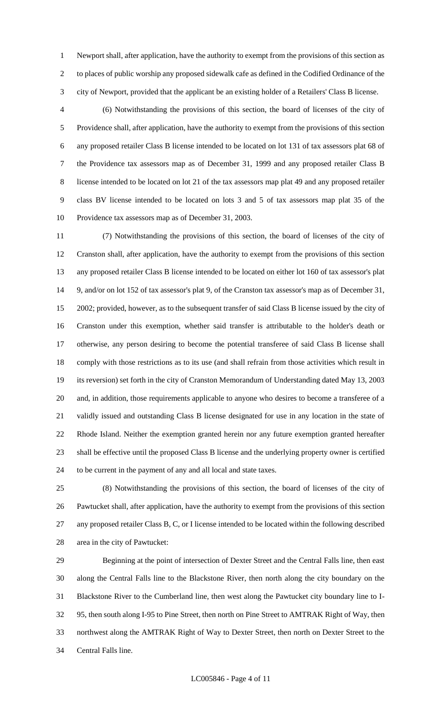Newport shall, after application, have the authority to exempt from the provisions of this section as to places of public worship any proposed sidewalk cafe as defined in the Codified Ordinance of the city of Newport, provided that the applicant be an existing holder of a Retailers' Class B license.

 (6) Notwithstanding the provisions of this section, the board of licenses of the city of Providence shall, after application, have the authority to exempt from the provisions of this section any proposed retailer Class B license intended to be located on lot 131 of tax assessors plat 68 of the Providence tax assessors map as of December 31, 1999 and any proposed retailer Class B license intended to be located on lot 21 of the tax assessors map plat 49 and any proposed retailer class BV license intended to be located on lots 3 and 5 of tax assessors map plat 35 of the Providence tax assessors map as of December 31, 2003.

 (7) Notwithstanding the provisions of this section, the board of licenses of the city of Cranston shall, after application, have the authority to exempt from the provisions of this section any proposed retailer Class B license intended to be located on either lot 160 of tax assessor's plat 9, and/or on lot 152 of tax assessor's plat 9, of the Cranston tax assessor's map as of December 31, 2002; provided, however, as to the subsequent transfer of said Class B license issued by the city of Cranston under this exemption, whether said transfer is attributable to the holder's death or otherwise, any person desiring to become the potential transferee of said Class B license shall comply with those restrictions as to its use (and shall refrain from those activities which result in its reversion) set forth in the city of Cranston Memorandum of Understanding dated May 13, 2003 and, in addition, those requirements applicable to anyone who desires to become a transferee of a validly issued and outstanding Class B license designated for use in any location in the state of Rhode Island. Neither the exemption granted herein nor any future exemption granted hereafter shall be effective until the proposed Class B license and the underlying property owner is certified to be current in the payment of any and all local and state taxes.

 (8) Notwithstanding the provisions of this section, the board of licenses of the city of Pawtucket shall, after application, have the authority to exempt from the provisions of this section any proposed retailer Class B, C, or I license intended to be located within the following described area in the city of Pawtucket:

 Beginning at the point of intersection of Dexter Street and the Central Falls line, then east along the Central Falls line to the Blackstone River, then north along the city boundary on the Blackstone River to the Cumberland line, then west along the Pawtucket city boundary line to I- 95, then south along I-95 to Pine Street, then north on Pine Street to AMTRAK Right of Way, then northwest along the AMTRAK Right of Way to Dexter Street, then north on Dexter Street to the Central Falls line.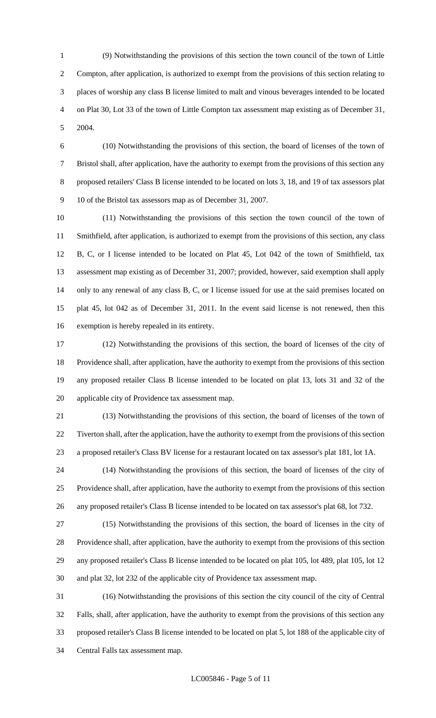(9) Notwithstanding the provisions of this section the town council of the town of Little Compton, after application, is authorized to exempt from the provisions of this section relating to places of worship any class B license limited to malt and vinous beverages intended to be located on Plat 30, Lot 33 of the town of Little Compton tax assessment map existing as of December 31, 2004.

 (10) Notwithstanding the provisions of this section, the board of licenses of the town of Bristol shall, after application, have the authority to exempt from the provisions of this section any proposed retailers' Class B license intended to be located on lots 3, 18, and 19 of tax assessors plat 10 of the Bristol tax assessors map as of December 31, 2007.

 (11) Notwithstanding the provisions of this section the town council of the town of Smithfield, after application, is authorized to exempt from the provisions of this section, any class B, C, or I license intended to be located on Plat 45, Lot 042 of the town of Smithfield, tax assessment map existing as of December 31, 2007; provided, however, said exemption shall apply only to any renewal of any class B, C, or I license issued for use at the said premises located on plat 45, lot 042 as of December 31, 2011. In the event said license is not renewed, then this exemption is hereby repealed in its entirety.

 (12) Notwithstanding the provisions of this section, the board of licenses of the city of Providence shall, after application, have the authority to exempt from the provisions of this section any proposed retailer Class B license intended to be located on plat 13, lots 31 and 32 of the applicable city of Providence tax assessment map.

 (13) Notwithstanding the provisions of this section, the board of licenses of the town of Tiverton shall, after the application, have the authority to exempt from the provisions of this section a proposed retailer's Class BV license for a restaurant located on tax assessor's plat 181, lot 1A.

 (14) Notwithstanding the provisions of this section, the board of licenses of the city of Providence shall, after application, have the authority to exempt from the provisions of this section any proposed retailer's Class B license intended to be located on tax assessor's plat 68, lot 732.

 (15) Notwithstanding the provisions of this section, the board of licenses in the city of Providence shall, after application, have the authority to exempt from the provisions of this section any proposed retailer's Class B license intended to be located on plat 105, lot 489, plat 105, lot 12 and plat 32, lot 232 of the applicable city of Providence tax assessment map.

 (16) Notwithstanding the provisions of this section the city council of the city of Central Falls, shall, after application, have the authority to exempt from the provisions of this section any proposed retailer's Class B license intended to be located on plat 5, lot 188 of the applicable city of Central Falls tax assessment map.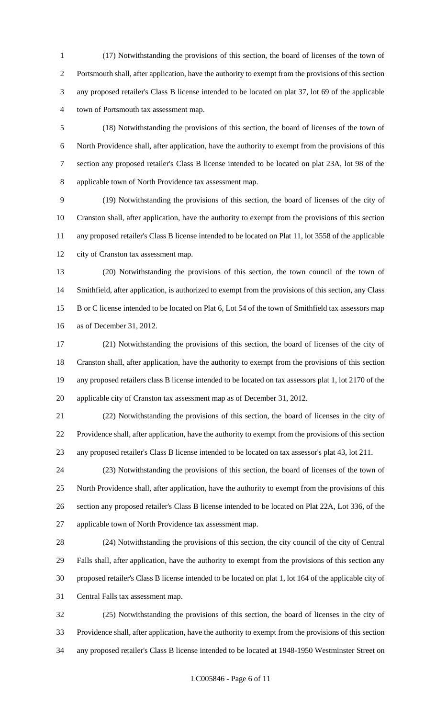(17) Notwithstanding the provisions of this section, the board of licenses of the town of Portsmouth shall, after application, have the authority to exempt from the provisions of this section any proposed retailer's Class B license intended to be located on plat 37, lot 69 of the applicable town of Portsmouth tax assessment map.

 (18) Notwithstanding the provisions of this section, the board of licenses of the town of North Providence shall, after application, have the authority to exempt from the provisions of this section any proposed retailer's Class B license intended to be located on plat 23A, lot 98 of the applicable town of North Providence tax assessment map.

 (19) Notwithstanding the provisions of this section, the board of licenses of the city of Cranston shall, after application, have the authority to exempt from the provisions of this section any proposed retailer's Class B license intended to be located on Plat 11, lot 3558 of the applicable city of Cranston tax assessment map.

 (20) Notwithstanding the provisions of this section, the town council of the town of Smithfield, after application, is authorized to exempt from the provisions of this section, any Class B or C license intended to be located on Plat 6, Lot 54 of the town of Smithfield tax assessors map as of December 31, 2012.

 (21) Notwithstanding the provisions of this section, the board of licenses of the city of Cranston shall, after application, have the authority to exempt from the provisions of this section any proposed retailers class B license intended to be located on tax assessors plat 1, lot 2170 of the applicable city of Cranston tax assessment map as of December 31, 2012.

 (22) Notwithstanding the provisions of this section, the board of licenses in the city of Providence shall, after application, have the authority to exempt from the provisions of this section any proposed retailer's Class B license intended to be located on tax assessor's plat 43, lot 211.

 (23) Notwithstanding the provisions of this section, the board of licenses of the town of North Providence shall, after application, have the authority to exempt from the provisions of this section any proposed retailer's Class B license intended to be located on Plat 22A, Lot 336, of the applicable town of North Providence tax assessment map.

 (24) Notwithstanding the provisions of this section, the city council of the city of Central Falls shall, after application, have the authority to exempt from the provisions of this section any proposed retailer's Class B license intended to be located on plat 1, lot 164 of the applicable city of Central Falls tax assessment map.

 (25) Notwithstanding the provisions of this section, the board of licenses in the city of Providence shall, after application, have the authority to exempt from the provisions of this section any proposed retailer's Class B license intended to be located at 1948-1950 Westminster Street on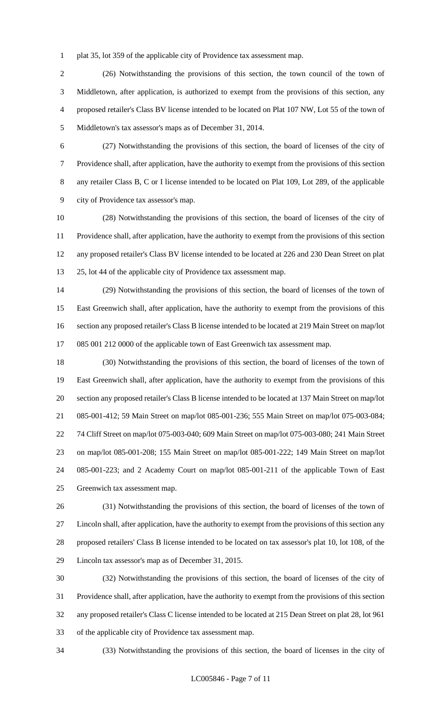plat 35, lot 359 of the applicable city of Providence tax assessment map.

 (26) Notwithstanding the provisions of this section, the town council of the town of Middletown, after application, is authorized to exempt from the provisions of this section, any proposed retailer's Class BV license intended to be located on Plat 107 NW, Lot 55 of the town of Middletown's tax assessor's maps as of December 31, 2014.

 (27) Notwithstanding the provisions of this section, the board of licenses of the city of Providence shall, after application, have the authority to exempt from the provisions of this section any retailer Class B, C or I license intended to be located on Plat 109, Lot 289, of the applicable city of Providence tax assessor's map.

 (28) Notwithstanding the provisions of this section, the board of licenses of the city of Providence shall, after application, have the authority to exempt from the provisions of this section any proposed retailer's Class BV license intended to be located at 226 and 230 Dean Street on plat 25, lot 44 of the applicable city of Providence tax assessment map.

 (29) Notwithstanding the provisions of this section, the board of licenses of the town of East Greenwich shall, after application, have the authority to exempt from the provisions of this section any proposed retailer's Class B license intended to be located at 219 Main Street on map/lot 085 001 212 0000 of the applicable town of East Greenwich tax assessment map.

 (30) Notwithstanding the provisions of this section, the board of licenses of the town of East Greenwich shall, after application, have the authority to exempt from the provisions of this section any proposed retailer's Class B license intended to be located at 137 Main Street on map/lot 085-001-412; 59 Main Street on map/lot 085-001-236; 555 Main Street on map/lot 075-003-084; 74 Cliff Street on map/lot 075-003-040; 609 Main Street on map/lot 075-003-080; 241 Main Street on map/lot 085-001-208; 155 Main Street on map/lot 085-001-222; 149 Main Street on map/lot 085-001-223; and 2 Academy Court on map/lot 085-001-211 of the applicable Town of East Greenwich tax assessment map.

 (31) Notwithstanding the provisions of this section, the board of licenses of the town of Lincoln shall, after application, have the authority to exempt from the provisions of this section any proposed retailers' Class B license intended to be located on tax assessor's plat 10, lot 108, of the Lincoln tax assessor's map as of December 31, 2015.

 (32) Notwithstanding the provisions of this section, the board of licenses of the city of Providence shall, after application, have the authority to exempt from the provisions of this section any proposed retailer's Class C license intended to be located at 215 Dean Street on plat 28, lot 961 of the applicable city of Providence tax assessment map.

(33) Notwithstanding the provisions of this section, the board of licenses in the city of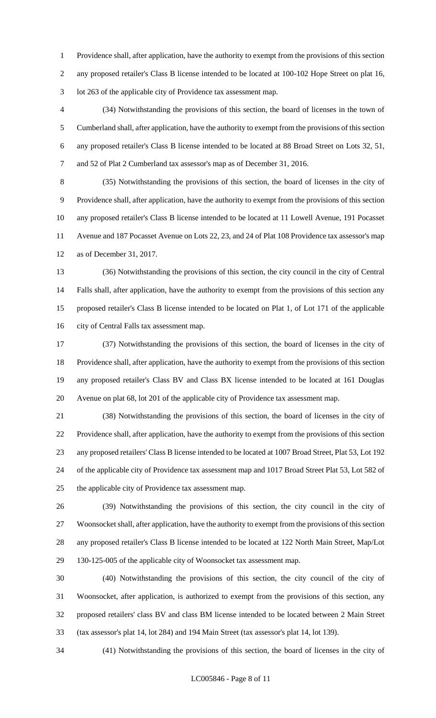Providence shall, after application, have the authority to exempt from the provisions of this section any proposed retailer's Class B license intended to be located at 100-102 Hope Street on plat 16, lot 263 of the applicable city of Providence tax assessment map.

 (34) Notwithstanding the provisions of this section, the board of licenses in the town of Cumberland shall, after application, have the authority to exempt from the provisions of this section any proposed retailer's Class B license intended to be located at 88 Broad Street on Lots 32, 51, and 52 of Plat 2 Cumberland tax assessor's map as of December 31, 2016.

 (35) Notwithstanding the provisions of this section, the board of licenses in the city of Providence shall, after application, have the authority to exempt from the provisions of this section any proposed retailer's Class B license intended to be located at 11 Lowell Avenue, 191 Pocasset Avenue and 187 Pocasset Avenue on Lots 22, 23, and 24 of Plat 108 Providence tax assessor's map as of December 31, 2017.

 (36) Notwithstanding the provisions of this section, the city council in the city of Central Falls shall, after application, have the authority to exempt from the provisions of this section any proposed retailer's Class B license intended to be located on Plat 1, of Lot 171 of the applicable city of Central Falls tax assessment map.

 (37) Notwithstanding the provisions of this section, the board of licenses in the city of Providence shall, after application, have the authority to exempt from the provisions of this section any proposed retailer's Class BV and Class BX license intended to be located at 161 Douglas Avenue on plat 68, lot 201 of the applicable city of Providence tax assessment map.

 (38) Notwithstanding the provisions of this section, the board of licenses in the city of Providence shall, after application, have the authority to exempt from the provisions of this section any proposed retailers' Class B license intended to be located at 1007 Broad Street, Plat 53, Lot 192 of the applicable city of Providence tax assessment map and 1017 Broad Street Plat 53, Lot 582 of the applicable city of Providence tax assessment map.

 (39) Notwithstanding the provisions of this section, the city council in the city of Woonsocket shall, after application, have the authority to exempt from the provisions of this section any proposed retailer's Class B license intended to be located at 122 North Main Street, Map/Lot 130-125-005 of the applicable city of Woonsocket tax assessment map.

 (40) Notwithstanding the provisions of this section, the city council of the city of Woonsocket, after application, is authorized to exempt from the provisions of this section, any proposed retailers' class BV and class BM license intended to be located between 2 Main Street (tax assessor's plat 14, lot 284) and 194 Main Street (tax assessor's plat 14, lot 139).

(41) Notwithstanding the provisions of this section, the board of licenses in the city of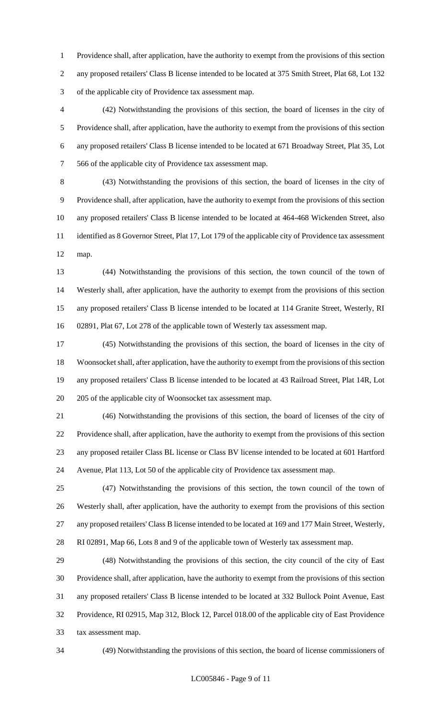Providence shall, after application, have the authority to exempt from the provisions of this section any proposed retailers' Class B license intended to be located at 375 Smith Street, Plat 68, Lot 132 of the applicable city of Providence tax assessment map.

 (42) Notwithstanding the provisions of this section, the board of licenses in the city of Providence shall, after application, have the authority to exempt from the provisions of this section any proposed retailers' Class B license intended to be located at 671 Broadway Street, Plat 35, Lot 566 of the applicable city of Providence tax assessment map.

 (43) Notwithstanding the provisions of this section, the board of licenses in the city of Providence shall, after application, have the authority to exempt from the provisions of this section any proposed retailers' Class B license intended to be located at 464-468 Wickenden Street, also identified as 8 Governor Street, Plat 17, Lot 179 of the applicable city of Providence tax assessment map.

 (44) Notwithstanding the provisions of this section, the town council of the town of Westerly shall, after application, have the authority to exempt from the provisions of this section any proposed retailers' Class B license intended to be located at 114 Granite Street, Westerly, RI 02891, Plat 67, Lot 278 of the applicable town of Westerly tax assessment map.

 (45) Notwithstanding the provisions of this section, the board of licenses in the city of Woonsocket shall, after application, have the authority to exempt from the provisions of this section any proposed retailers' Class B license intended to be located at 43 Railroad Street, Plat 14R, Lot 205 of the applicable city of Woonsocket tax assessment map.

 (46) Notwithstanding the provisions of this section, the board of licenses of the city of Providence shall, after application, have the authority to exempt from the provisions of this section any proposed retailer Class BL license or Class BV license intended to be located at 601 Hartford Avenue, Plat 113, Lot 50 of the applicable city of Providence tax assessment map.

 (47) Notwithstanding the provisions of this section, the town council of the town of Westerly shall, after application, have the authority to exempt from the provisions of this section any proposed retailers' Class B license intended to be located at 169 and 177 Main Street, Westerly, RI 02891, Map 66, Lots 8 and 9 of the applicable town of Westerly tax assessment map.

 (48) Notwithstanding the provisions of this section, the city council of the city of East Providence shall, after application, have the authority to exempt from the provisions of this section any proposed retailers' Class B license intended to be located at 332 Bullock Point Avenue, East Providence, RI 02915, Map 312, Block 12, Parcel 018.00 of the applicable city of East Providence tax assessment map.

(49) Notwithstanding the provisions of this section, the board of license commissioners of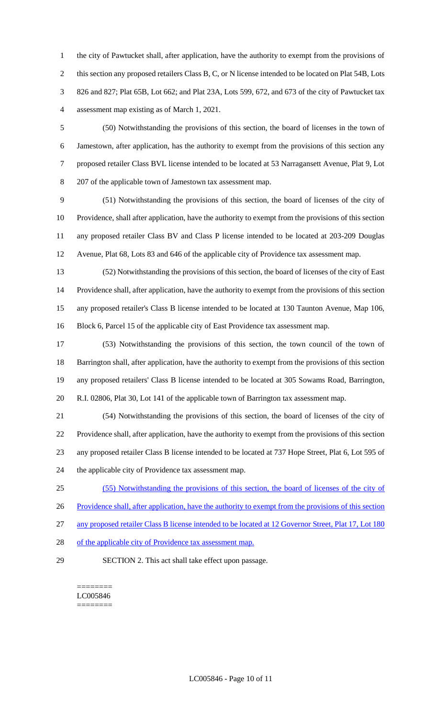the city of Pawtucket shall, after application, have the authority to exempt from the provisions of this section any proposed retailers Class B, C, or N license intended to be located on Plat 54B, Lots 826 and 827; Plat 65B, Lot 662; and Plat 23A, Lots 599, 672, and 673 of the city of Pawtucket tax assessment map existing as of March 1, 2021.

 (50) Notwithstanding the provisions of this section, the board of licenses in the town of Jamestown, after application, has the authority to exempt from the provisions of this section any proposed retailer Class BVL license intended to be located at 53 Narragansett Avenue, Plat 9, Lot 207 of the applicable town of Jamestown tax assessment map.

 (51) Notwithstanding the provisions of this section, the board of licenses of the city of Providence, shall after application, have the authority to exempt from the provisions of this section any proposed retailer Class BV and Class P license intended to be located at 203-209 Douglas Avenue, Plat 68, Lots 83 and 646 of the applicable city of Providence tax assessment map.

 (52) Notwithstanding the provisions of this section, the board of licenses of the city of East Providence shall, after application, have the authority to exempt from the provisions of this section any proposed retailer's Class B license intended to be located at 130 Taunton Avenue, Map 106, Block 6, Parcel 15 of the applicable city of East Providence tax assessment map.

 (53) Notwithstanding the provisions of this section, the town council of the town of Barrington shall, after application, have the authority to exempt from the provisions of this section any proposed retailers' Class B license intended to be located at 305 Sowams Road, Barrington, R.I. 02806, Plat 30, Lot 141 of the applicable town of Barrington tax assessment map.

 (54) Notwithstanding the provisions of this section, the board of licenses of the city of Providence shall, after application, have the authority to exempt from the provisions of this section any proposed retailer Class B license intended to be located at 737 Hope Street, Plat 6, Lot 595 of the applicable city of Providence tax assessment map.

(55) Notwithstanding the provisions of this section, the board of licenses of the city of

26 Providence shall, after application, have the authority to exempt from the provisions of this section

27 any proposed retailer Class B license intended to be located at 12 Governor Street, Plat 17, Lot 180

- 28 of the applicable city of Providence tax assessment map.
- 

SECTION 2. This act shall take effect upon passage.

======== LC005846 ========